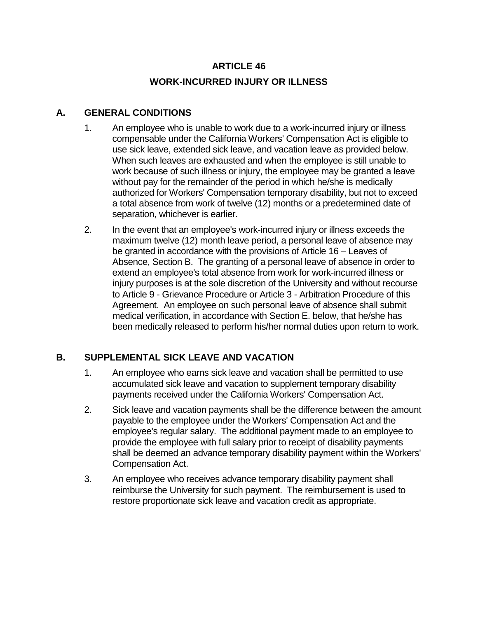# **ARTICLE 46 WORK-INCURRED INJURY OR ILLNESS**

## **A. GENERAL CONDITIONS**

- 1. An employee who is unable to work due to a work-incurred injury or illness compensable under the California Workers' Compensation Act is eligible to use sick leave, extended sick leave, and vacation leave as provided below. When such leaves are exhausted and when the employee is still unable to work because of such illness or injury, the employee may be granted a leave without pay for the remainder of the period in which he/she is medically authorized for Workers' Compensation temporary disability, but not to exceed a total absence from work of twelve (12) months or a predetermined date of separation, whichever is earlier.
- 2. In the event that an employee's work-incurred injury or illness exceeds the maximum twelve (12) month leave period, a personal leave of absence may be granted in accordance with the provisions of Article 16 – Leaves of Absence, Section B. The granting of a personal leave of absence in order to extend an employee's total absence from work for work-incurred illness or injury purposes is at the sole discretion of the University and without recourse to Article 9 - Grievance Procedure or Article 3 - Arbitration Procedure of this Agreement. An employee on such personal leave of absence shall submit medical verification, in accordance with Section E. below, that he/she has been medically released to perform his/her normal duties upon return to work.

# **B. SUPPLEMENTAL SICK LEAVE AND VACATION**

- 1. An employee who earns sick leave and vacation shall be permitted to use accumulated sick leave and vacation to supplement temporary disability payments received under the California Workers' Compensation Act.
- 2. Sick leave and vacation payments shall be the difference between the amount payable to the employee under the Workers' Compensation Act and the employee's regular salary. The additional payment made to an employee to provide the employee with full salary prior to receipt of disability payments shall be deemed an advance temporary disability payment within the Workers' Compensation Act.
- 3. An employee who receives advance temporary disability payment shall reimburse the University for such payment. The reimbursement is used to restore proportionate sick leave and vacation credit as appropriate.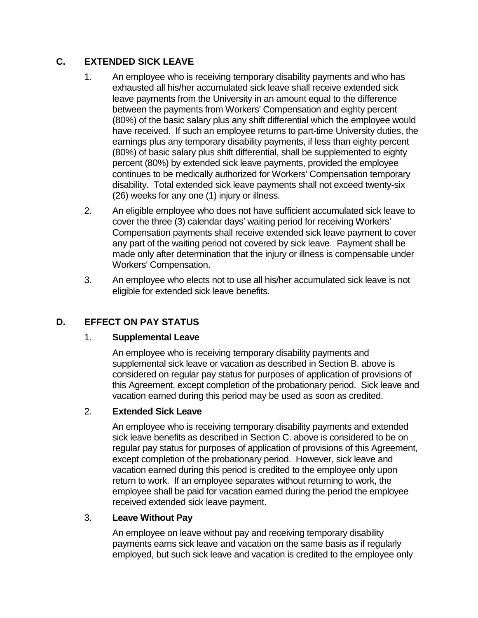# **C. EXTENDED SICK LEAVE**

- 1. An employee who is receiving temporary disability payments and who has exhausted all his/her accumulated sick leave shall receive extended sick leave payments from the University in an amount equal to the difference between the payments from Workers' Compensation and eighty percent (80%) of the basic salary plus any shift differential which the employee would have received. If such an employee returns to part-time University duties, the earnings plus any temporary disability payments, if less than eighty percent (80%) of basic salary plus shift differential, shall be supplemented to eighty percent (80%) by extended sick leave payments, provided the employee continues to be medically authorized for Workers' Compensation temporary disability. Total extended sick leave payments shall not exceed twenty-six (26) weeks for any one (1) injury or illness.
- 2. An eligible employee who does not have sufficient accumulated sick leave to cover the three (3) calendar days' waiting period for receiving Workers' Compensation payments shall receive extended sick leave payment to cover any part of the waiting period not covered by sick leave. Payment shall be made only after determination that the injury or illness is compensable under Workers' Compensation.
- 3. An employee who elects not to use all his/her accumulated sick leave is not eligible for extended sick leave benefits.

# **D. EFFECT ON PAY STATUS**

#### 1. **Supplemental Leave**

An employee who is receiving temporary disability payments and supplemental sick leave or vacation as described in Section B. above is considered on regular pay status for purposes of application of provisions of this Agreement, except completion of the probationary period. Sick leave and vacation earned during this period may be used as soon as credited.

### 2. **Extended Sick Leave**

An employee who is receiving temporary disability payments and extended sick leave benefits as described in Section C. above is considered to be on regular pay status for purposes of application of provisions of this Agreement, except completion of the probationary period. However, sick leave and vacation earned during this period is credited to the employee only upon return to work. If an employee separates without returning to work, the employee shall be paid for vacation earned during the period the employee received extended sick leave payment.

#### 3. **Leave Without Pay**

An employee on leave without pay and receiving temporary disability payments earns sick leave and vacation on the same basis as if regularly employed, but such sick leave and vacation is credited to the employee only